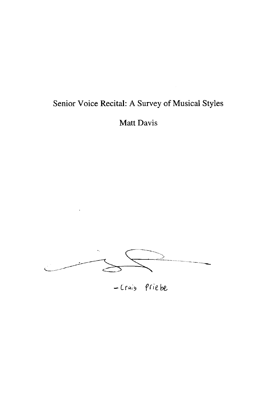## Senior Voice Recital: A Survey of Musical Styles

 $\sim$ 

Matt Davis



- Cruis Priebe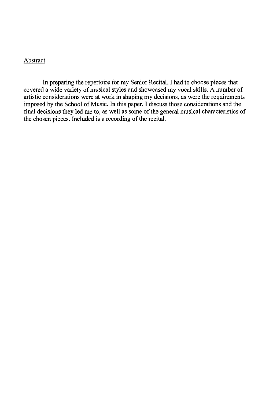## **Abstract**

**In** preparing the repertoire for my Senior Recital, I had to choose pieces that covered a wide variety of musical styles and showcased my vocal skills. A number of artistic considerations were at work in shaping my decisions, as were the requirements imposed by the School of Music. **In** this paper, I discuss those considerations and the final decisions they led me to, as well as some of the general musical characteristics of the chosen pieces. Included is a recording of the recital.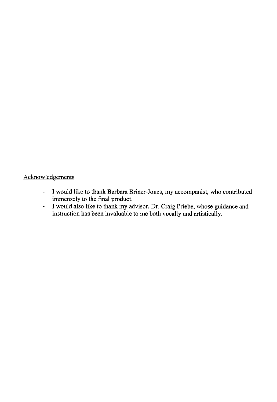## **Acknowledgements**

 $\hat{\mathcal{L}}$ 

- I would like to thank Barbara Briner-Jones, my accompanist, who contributed immensely to the final product.
- I would also like to thank my advisor, Dr. Craig Priebe, whose guidance and instruction has been invaluable to me both vocally and artistically.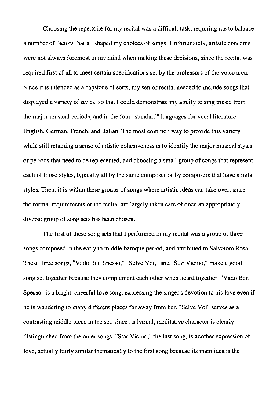Choosing the repertoire for my recital was a difficult task, requiring me to balance a number of factors that all shaped my choices of songs. Unfortunately, artistic concerns were not always foremost in my mind when making these decisions, since the recital was required first of all to meet certain specifications set by the professors of the voice area. Since it is intended as a capstone of sorts, my senior recital needed to include songs that displayed a variety of styles, so that I could demonstrate my ability to sing music from the major musical periods, and in the four "standard" languages for vocal literature  $-$ English, German, French, and Italian. The most common way to provide this variety while still retaining a sense of artistic cohesiveness is to identify the major musical styles or periods that need to be represented, and choosing a small group of songs that represent each of those styles, typically all by the same composer or by composers that have similar styles. Then, it is within these groups of songs where artistic ideas can take over, since the formal requirements of the recital are largely taken care of once an appropriately diverse group of song sets has been chosen.

The first of these song sets that I performed in my recital was a group of three songs composed in the early to middle baroque period, and attributed to Salvatore Rosa. These three songs, "Vado Ben Spesso," "Selve Voi," and "Star Vicino," make a good song set together because they complement each other when heard together. "Vado Ben Spesso" is a bright, cheerful love song, expressing the singer's devotion to his love even if he is wandering to many different places far away from her. "Selve Voi" serves as a contrasting middle piece in the set, since its lyrical, meditative character is clearly distinguished from the outer songs. "Star Vicino," the last song, is another expression of love, actually fairly similar thematically to the first song because its main idea is the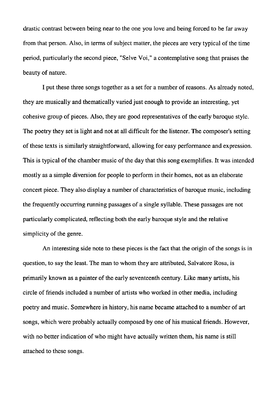drastic contrast between being near to the one you love and being forced to be far away from that person. Also, in terms of subject matter, the pieces are very typical of the time period, particularly the second piece, "Selve Voi," a contemplative song that praises the beauty of nature.

I put these three songs together as a set for a number of reasons. As already noted, they are musically and thematically varied just enough to provide an interesting, yet cohesive group of pieces. Also, they are good representatives of the early baroque style. The poetry they set is light and not at all difficult for the listener. The composer's setting of these texts is similarly straightforward, allowing for easy performance and expression. This is typical of the chamber music of the day that this song exemplifies. It was intended mostly as a simple diversion for people to perform in their homes, not as an elaborate concert piece. They also display a number of characteristics of baroque music, including the frequently occurring running passages of a single syllable. These passages are not particularly complicated, reflecting both the early baroque style and the relative simplicity of the genre.

An interesting side note to these pieces is the fact that the origin of the songs is in question, to say the least. The man to whom they are attributed, Salvatore Rosa, is primarily known as a painter of the early seventeenth century. Like many artists, his circle of friends included a number of artists who worked in other media, including poetry and music. Somewhere in history, his name became attached to a number of art songs, which were probably actually composed by one of his musical friends. However, with no better indication of who might have actually written them, his name is still attached to these songs.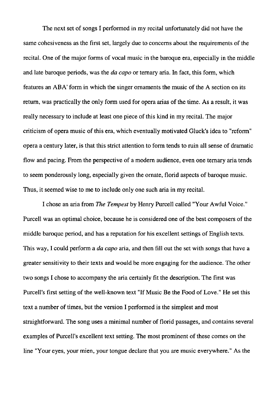The next set of songs I performed in my recital unfortunately did not have the same cohesiveness as the first set, largely due to concerns about the requirements of the recital. One of the major forms of vocal music in the baroque era, especially in the middle and late baroque periods, was the *da capo* or ternary aria. In fact, this form, which features an ABA' form in which the singer ornaments the music of the A section on its return, was practically the only form used for opera arias of the time. As a result, it was really necessary to include at least one piece of this kind in my recital. The major criticism of opera music of this era, which eventually motivated Gluck's idea to "reform" opera a century later, is that this strict attention to form tends to ruin all sense of dramatic flow and pacing. From the perspective of a modern audience, even one ternary aria tends to seem ponderously long, especially given the ornate, florid aspects of baroque music. Thus, it seemed wise to me to include only one such aria in my recital.

I chose an aria from *The Tempest* by Henry Purcell called "Your Awful Voice." Purcell was an optimal choice, because he is considered one of the best composers of the middle baroque period, and has a reputation for his excellent settings of English texts. This way, I could perform a *da capo* aria, and then fill out the set with songs that have a greater sensitivity to their texts and would be more engaging for the audience. The other two songs I chose to accompany the aria certainly fit the description. The first was Purcell's first setting of the well-known text "If Music Be the Food of Love." He set this text a number of times, but the version I performed is the simplest and most straightforward. The song uses a minimal number of florid passages, and contains several examples of Purcell's excellent text setting. The most prominent of these comes on the line "Your eyes, your mien, your tongue declare that you are music everywhere." As the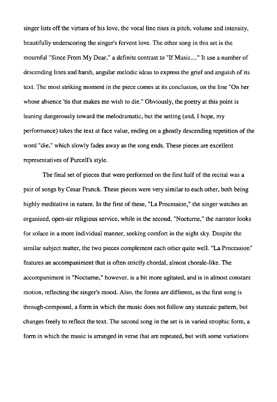singer lists off the virtues of his love, the vocal line rises in pitch, volume and intensity, beautifully underscoring the singer's fervent love. The other song in this set is the mournful "Since From My Dear," a definite contrast to "If Music...." It use a number of descending lines and harsh, angular melodic ideas to express the grief and anguish of its text. The most striking moment in the piece comes at its conclusion, on the line "On her whose absence 'tis that makes me wish to die." Obviously, the poetry at this point is leaning dangerously toward the melodramatic, but the setting (and, I hope, my performance) takes the text at face value, ending on a ghostly descending repetition of the word "die," which slowly fades away as the song ends. These pieces are excellent representatives of Purcell's style.

The final set of pieces that were performed on the first half of the recital was a pair of songs by Cesar Franck. These pieces were very similar to each other, both being highly meditative in nature. In the first of these, "La Procession," the singer watches an organized, open-air religious service, while in the second, "Nocturne," the narrator looks for solace in a more individual manner, seeking comfort in the night sky. Despite the similar subject matter, the two pieces complement each other quite well. "La Procession" features an accompaniment that is often strictly chordal, almost chorale-like. The accompaniment in "Nocturne," however, is a bit more agitated, and is in almost constant motion, reflecting the singer's mood. Also, the forms are different, as the first song is through-composed, a form in which the music does not follow any stanzaic pattern, but changes freely to reflect the text. The second song in the set is in varied strophic form, a form in which the music is arranged in verse that are repeated, but with some variations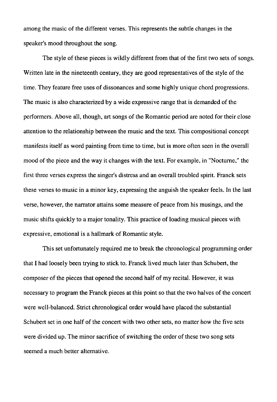among the music of the different verses. This represents the subtle changes in the speaker's mood throughout the song.

The style of these pieces is wildly different from that of the first two sets of songs. Written late in the nineteenth century, they are good representatives of the style of the time. They feature free uses of dissonances and some highly unique chord progressions. The music is also characterized by a wide expressi ve range that is demanded of the performers. Above all, though, art songs of the Romantic period are noted for their close attention to the relationship between the music and the text. This compositional concept manifests itself as word painting from time to time, but is more often seen in the overall mood of the piece and the way it changes with the text. For example, in "Nocturne," the first three verses express the singer's distress and an overall troubled spirit. Franck sets these verses to music in a minor key, expressing the anguish the speaker feels. In the last verse, however, the narrator attains some measure of peace from his musings, and the music shifts quickly to a major tonality. This practice of loading musical pieces with expressive, emotional is a hallmark of Romantic style.

This set unfortunately required me to break the chronological programming order that I had loosely been trying to stick to. Franck lived much later than Schubert, the composer of the pieces that opened the second half of my recital. However, it was necessary to program the Franck pieces at this point so that the two halves of the concert were well-balanced. Strict chronological order would have placed the substantial Schubert set in one half of the concert with two other sets, no matter how the five sets were divided up. The minor sacrifice of switching the order of these two song sets seemed a much better alternative.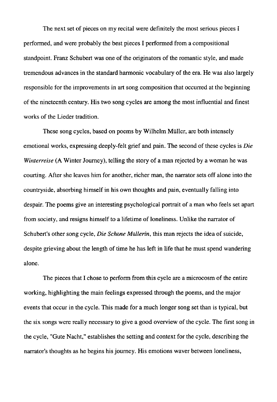The next set of pieces on my recital were definitely the most serious pieces I performed, and were probably the best pieces I performed from a compositional standpoint. Franz Schubert was one of the originators of the romantic style, and made tremendous advances in the standard harmonic vocabulary of the era. He was also largely responsible for the improvements in art song composition that occurred at the beginning of the nineteenth century. His two song cycles are among the most influential and finest works of the Lieder tradition.

These song cycles, based on poems by Wilhelm Müller, are both intensely emotional works, expressing deeply-felt grief and pain. The second of these cycles is *Die Winterreise* (A Winter Journey), telling the story of a man rejected by a woman he was courting. After she leaves him for another, richer man, the narrator sets off alone into the countryside, absorbing himself in his own thoughts and pain, eventually falling into despair. The poems give an interesting psychological portrait of a man who feels set apart from society, and resigns himself to a lifetime of loneliness. Unlike the narrator of Schubert's other song cycle, *Die Schone Müllerin*, this man rejects the idea of suicide, despite grieving about the length of time he has left in life that he must spend wandering alone.

The pieces that I chose to perform from this cycle are a microcosm of the entire working, highlighting the main feelings expressed through the poems, and the major events that occur in the cycle. This made for a much longer song set than is typical, but the six songs were really necessary to give a good overview of the cycle. The first song in the cycle, "Oute Nacht," establishes the setting and context for the cycle, describing the narrator's thoughts as he begins his journey. His emotions waver between loneliness,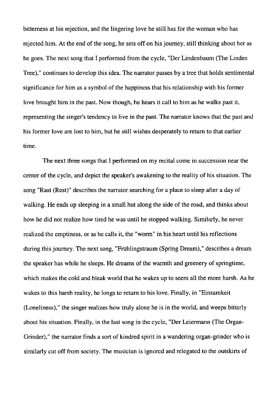bitterness at his rejection, and the lingering love he still has for the woman who has rejected him. At the end of the song, he sets off on his journey, still thinking about her as he goes. The next song that I performed from the cycle, "Der Lindenbaum (The Linden Tree)," continues to develop this idea. The narrator passes by a tree that holds sentimental significance for him as a symbol of the happiness that his relationship with his former love brought him in the past. Now though, he hears it call to him as he walks past it, representing the singer's tendency to live in the past. The narrator knows that the past and his former love are lost to him, but he still wishes desperately to return to that earlier time.

The next three songs that I performed on my recital come in succession near the center of the cycle, and depict the speaker's awakening to the reality of his situation. The song "Rast (Rest)" describes the narrator searching for a place to sleep after a day of walking. He ends up sleeping in a small hut along the side of the road, and thinks about how he did not realize how tired he was until he stopped walking. Similarly, he never realized the emptiness, or as he calls it, the "worm" in his heart until his reflections during this journey. The next song, "Frühlingstraum (Spring Dream)," describes a dream the speaker has while he sleeps. He dreams of the warmth and greenery of springtime, which makes the cold and bleak world that he wakes up to seem all the more harsh. As he wakes to this harsh reality, he longs to return to his love. Finally, in "Einsamkeit (Loneliness)," the singer realizes how truly alone he is in the world, and weeps bitterly about his situation. Finally, in the last song in the cycle, "Der Leiermann (The Organ-Grinder)," the narrator finds a sort of kindred spirit in a wandering organ-grinder who is similarly cut off from society. The musician is ignored and relegated to the outskirts of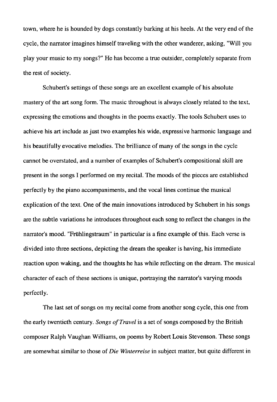town, where he is hounded by dogs constantly barking at his heels. At the very end of the cycle, the narrator imagines himself traveling with the other wanderer, asking, "Will you play your music to my songs?" He has become a true outsider, completely separate from the rest of society.

Schubert's settings of these songs are an excellent example of his absolute mastery of the art song form. The music throughout is always closely related to the text, expressing the emotions and thoughts in the poems exactly. The tools Schubert uses to achieve his art include as just two examples his wide, expressive harmonic language and his beautifully evocative melodies. The brilliance of many of the songs in the cycle cannot be overstated, and a number of examples of Schubert's compositional skill are present in the songs I performed on my recital. The moods of the pieces are established perfectly by the piano accompaniments, and the vocal lines continue the musical explication of the text. One of the main innovations introduced by Schubert in his songs are the subtle variations he introduces throughout each song to reflect the changes in the narrator's mood. "Friihlingstraum" in particular is a fine example of this. Each verse is divided into three sections, depicting the dream the speaker is having, his immediate reaction upon waking, and the thoughts he has while reflecting on the dream. The musical character of each of these sections is unique, portraying the narrator's varying moods perfectly.

The last set of songs on my recital come from another song cycle, this one from the early twentieth century. *Songs of Travel* is a set of songs composed by the British composer Ralph Vaughan Williams, on poems by Robert Louis Stevenson. These songs are somewhat similar to those of *Die Winterreise* in subject matter, but quite different in